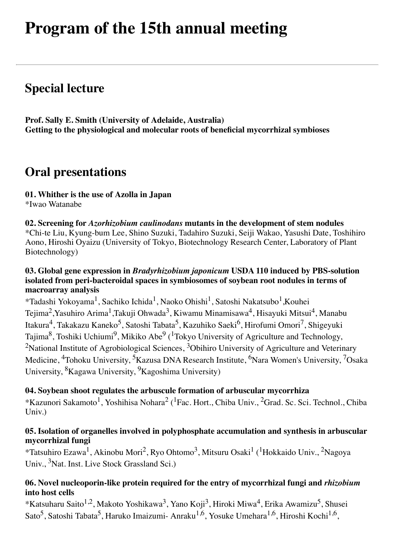# **Program of the 15th annual meeting**

## **Special lecture**

**Prof. Sally E. Smith (University of Adelaide, Australia) Getting to the physiological and molecular roots of beneficial mycorrhizal symbioses**

## **Oral presentations**

### **01. Whither is the use of Azolla in Japan**

\*Iwao Watanabe

**02. Screening for** *Azorhizobium caulinodans* **mutants in the development of stem nodules** \*Chi-te Liu, Kyung-bum Lee, Shino Suzuki, Tadahiro Suzuki, Seiji Wakao, Yasushi Date, Toshihiro Aono, Hiroshi Oyaizu (University of Tokyo, Biotechnology Research Center, Laboratory of Plant Biotechnology)

#### **03. Global gene expression in** *Bradyrhizobium japonicum* **USDA 110 induced by PBS-solution isolated from peri-bacteroidal spaces in symbiosomes of soybean root nodules in terms of macroarray analysis**

\*Tadashi Yokoyama1, Sachiko Ichida1, Naoko Ohishi1, Satoshi Nakatsubo1,Kouhei Tejima<sup>2</sup>, Yasuhiro Arima<sup>1</sup>, Takuji Ohwada<sup>3</sup>, Kiwamu Minamisawa<sup>4</sup>, Hisayuki Mitsui<sup>4</sup>, Manabu Itakura<sup>4</sup>, Takakazu Kaneko<sup>5</sup>, Satoshi Tabata<sup>5</sup>, Kazuhiko Saeki<sup>6</sup>, Hirofumi Omori<sup>7</sup>, Shigeyuki Tajima<sup>8</sup>, Toshiki Uchiumi<sup>9</sup>, Mikiko Abe<sup>9</sup> (<sup>1</sup>Tokyo University of Agriculture and Technology, <sup>2</sup>National Institute of Agrobiological Sciences,  $3$ Obihiro University of Agriculture and Veterinary Medicine, <sup>4</sup>Tohoku University, <sup>5</sup>Kazusa DNA Research Institute, <sup>6</sup>Nara Women's University, <sup>7</sup>Osaka University, 8Kagawa University, 9Kagoshima University)

#### **04. Soybean shoot regulates the arbuscule formation of arbuscular mycorrhiza**

\*Kazunori Sakamoto1, Yoshihisa Nohara2 (1Fac. Hort., Chiba Univ., 2Grad. Sc. Sci. Technol., Chiba Univ.)

#### **05. Isolation of organelles involved in polyphosphate accumulation and synthesis in arbuscular mycorrhizal fungi**

\*Tatsuhiro Ezawa1, Akinobu Mori2, Ryo Ohtomo3, Mitsuru Osaki1 (1Hokkaido Univ., 2Nagoya Univ., <sup>3</sup>Nat. Inst. Live Stock Grassland Sci.)

#### **06. Novel nucleoporin-like protein required for the entry of mycorrhizal fungi and** *rhizobium* **into host cells**

\*Katsuharu Saito<sup>1,2</sup>, Makoto Yoshikawa<sup>3</sup>, Yano Koji<sup>3</sup>, Hiroki Miwa<sup>4</sup>, Erika Awamizu<sup>5</sup>, Shusei Sato<sup>5</sup>, Satoshi Tabata<sup>5</sup>, Haruko Imaizumi- Anraku<sup>1,6</sup>, Yosuke Umehara<sup>1,6</sup>, Hiroshi Kochi<sup>1,6</sup>,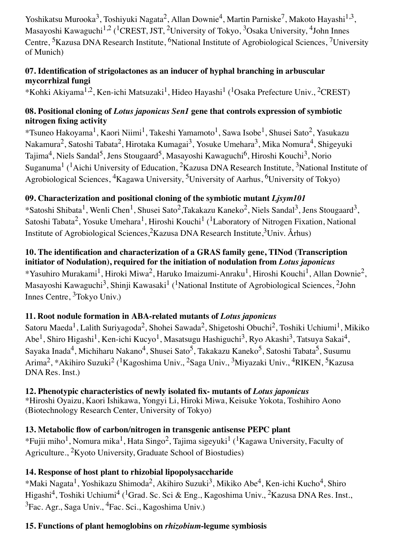Yoshikatsu Murooka<sup>3</sup>, Toshiyuki Nagata<sup>2</sup>, Allan Downie<sup>4</sup>, Martin Parniske<sup>7</sup>, Makoto Hayashi<sup>1,3</sup>, Masayoshi Kawaguchi<sup>1,2</sup> (<sup>1</sup>CREST, JST, <sup>2</sup>University of Tokyo, <sup>3</sup>Osaka University, <sup>4</sup>John Innes Centre, <sup>5</sup>Kazusa DNA Research Institute, <sup>6</sup>National Institute of Agrobiological Sciences, <sup>7</sup>University of Munich)

### **07. Identification of strigolactones as an inducer of hyphal branching in arbuscular mycorrhizal fungi**

\*Kohki Akiyama<sup>1,2</sup>, Ken-ichi Matsuzaki<sup>1</sup>, Hideo Hayashi<sup>1</sup> (<sup>1</sup>Osaka Prefecture Univ., <sup>2</sup>CREST)

## **08. Positional cloning of** *Lotus japonicus Sen1* **gene that controls expression of symbiotic nitrogen fixing activity**

\*Tsuneo Hakoyama1, Kaori Niimi1, Takeshi Yamamoto1, Sawa Isobe1, Shusei Sato2, Yasukazu Nakamura<sup>2</sup>, Satoshi Tabata<sup>2</sup>, Hirotaka Kumagai<sup>3</sup>, Yosuke Umehara<sup>3</sup>, Mika Nomura<sup>4</sup>, Shigeyuki Tajima<sup>4</sup>, Niels Sandal<sup>5</sup>, Jens Stougaard<sup>5</sup>, Masayoshi Kawaguchi<sup>6</sup>, Hiroshi Kouchi<sup>3</sup>, Norio Suganuma<sup>1</sup> (<sup>1</sup>Aichi University of Education, <sup>2</sup>Kazusa DNA Research Institute, <sup>3</sup>National Institute of Agrobiological Sciences,  ${}^{4}$ Kagawa University,  ${}^{5}$ University of Aarhus,  ${}^{6}$ University of Tokyo)

## **09. Characterization and positional cloning of the symbiotic mutant** *Ljsym101*

\*Satoshi Shibata<sup>1</sup>, Wenli Chen<sup>1</sup>, Shusei Sato<sup>2</sup>, Takakazu Kaneko<sup>2</sup>, Niels Sandal<sup>3</sup>, Jens Stougaard<sup>3</sup>, Satoshi Tabata<sup>2</sup>, Yosuke Umehara<sup>1</sup>, Hiroshi Kouchi<sup>1</sup> (<sup>1</sup>Laboratory of Nitrogen Fixation, National Institute of Agrobiological Sciences,<sup>2</sup>Kazusa DNA Research Institute,<sup>3</sup>Univ. Århus)

## **10. The identification and characterization of a GRAS family gene, TINod (Transcription initiator of Nodulation), required for the initiation of nodulation from** *Lotus japonicus* \*Yasuhiro Murakami<sup>1</sup>, Hiroki Miwa<sup>2</sup>, Haruko Imaizumi-Anraku<sup>1</sup>, Hiroshi Kouchi<sup>1</sup>, Allan Downie<sup>2</sup>, Masayoshi Kawaguchi<sup>3</sup>, Shinji Kawasaki<sup>1</sup> (<sup>1</sup>National Institute of Agrobiological Sciences, <sup>2</sup>John Innes Centre, 3Tokyo Univ.)

## **11. Root nodule formation in ABA-related mutants of** *Lotus japonicus*

Satoru Maeda<sup>1</sup>, Lalith Suriyagoda<sup>2</sup>, Shohei Sawada<sup>2</sup>, Shigetoshi Obuchi<sup>2</sup>, Toshiki Uchiumi<sup>1</sup>, Mikiko Abe<sup>1</sup>, Shiro Higashi<sup>1</sup>, Ken-ichi Kucyo<sup>1</sup>, Masatsugu Hashiguchi<sup>3</sup>, Ryo Akashi<sup>3</sup>, Tatsuya Sakai<sup>4</sup>, Sayaka Inada<sup>4</sup>, Michiharu Nakano<sup>4</sup>, Shusei Sato<sup>5</sup>, Takakazu Kaneko<sup>5</sup>, Satoshi Tabata<sup>5</sup>, Susumu Arima<sup>2</sup>, \*Akihiro Suzuki<sup>2</sup> (<sup>1</sup>Kagoshima Univ., <sup>2</sup>Saga Univ., <sup>3</sup>Miyazaki Univ., <sup>4</sup>RIKEN, <sup>5</sup>Kazusa DNA Res. Inst.)

## **12. Phenotypic characteristics of newly isolated fix- mutants of** *Lotus japonicus*

\*Hiroshi Oyaizu, Kaori Ishikawa, Yongyi Li, Hiroki Miwa, Keisuke Yokota, Toshihiro Aono (Biotechnology Research Center, University of Tokyo)

## **13. Metabolic flow of carbon/nitrogen in transgenic antisense PEPC plant**

\*Fujii miho<sup>1</sup>, Nomura mika<sup>1</sup>, Hata Singo<sup>2</sup>, Tajima sigeyuki<sup>1</sup> (<sup>1</sup>Kagawa University, Faculty of Agriculture., 2Kyoto University, Graduate School of Biostudies)

## **14. Response of host plant to rhizobial lipopolysaccharide**

\*Maki Nagata1, Yoshikazu Shimoda2, Akihiro Suzuki3, Mikiko Abe4, Ken-ichi Kucho4, Shiro Higashi<sup>4</sup>, Toshiki Uchiumi<sup>4</sup> (<sup>1</sup>Grad. Sc. Sci & Eng., Kagoshima Univ., <sup>2</sup>Kazusa DNA Res. Inst.,  ${}^{3}$ Fac. Agr., Saga Univ.,  ${}^{4}$ Fac. Sci., Kagoshima Univ.)

## **15. Functions of plant hemoglobins on** *rhizobium***-legume symbiosis**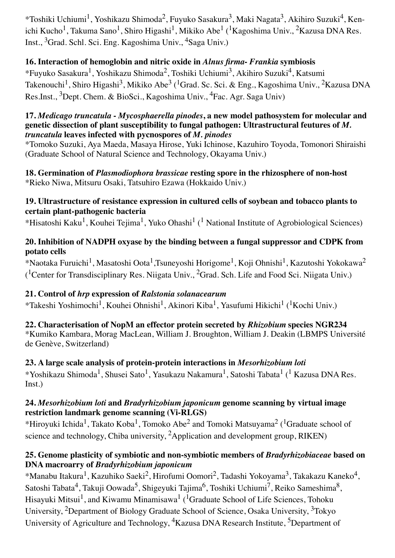\*Toshiki Uchiumi1, Yoshikazu Shimoda2, Fuyuko Sasakura3, Maki Nagata3, Akihiro Suzuki4, Kenichi Kucho<sup>1</sup>, Takuma Sano<sup>1</sup>, Shiro Higashi<sup>1</sup>, Mikiko Abe<sup>1</sup> (<sup>1</sup>Kagoshima Univ., <sup>2</sup>Kazusa DNA Res. Inst., 3Grad. Schl. Sci. Eng. Kagoshima Univ., 4Saga Univ.)

## **16. Interaction of hemoglobin and nitric oxide in** *Alnus firma***-** *Frankia* **symbiosis**

\*Fuyuko Sasakura1, Yoshikazu Shimoda2, Toshiki Uchiumi3, Akihiro Suzuki4, Katsumi Takenouchi<sup>1</sup>, Shiro Higashi<sup>3</sup>, Mikiko Abe<sup>3</sup> (<sup>1</sup>Grad. Sc. Sci. & Eng., Kagoshima Univ., <sup>2</sup>Kazusa DNA Res.Inst., <sup>3</sup>Dept. Chem. & BioSci., Kagoshima Univ., <sup>4</sup>Fac. Agr. Saga Univ)

#### **17.** *Medicago truncatula* **-** *Mycosphaerella pinodes***, a new model pathosystem for molecular and genetic dissection of plant susceptibility to fungal pathogen: Ultrastructural feutures of** *M. truncatula* **leaves infected with pycnospores of** *M. pinodes*

\*Tomoko Suzuki, Aya Maeda, Masaya Hirose, Yuki Ichinose, Kazuhiro Toyoda, Tomonori Shiraishi (Graduate School of Natural Science and Technology, Okayama Univ.)

#### **18. Germination of** *Plasmodiophora brassicae* **resting spore in the rhizosphere of non-host** \*Rieko Niwa, Mitsuru Osaki, Tatsuhiro Ezawa (Hokkaido Univ.)

#### **19. Ultrastructure of resistance expression in cultured cells of soybean and tobacco plants to certain plant-pathogenic bacteria**

\*Hisatoshi Kaku<sup>1</sup>, Kouhei Tejima<sup>1</sup>, Yuko Ohashi<sup>1</sup> (<sup>1</sup> National Institute of Agrobiological Sciences)

#### **20. Inhibition of NADPH oxyase by the binding between a fungal suppressor and CDPK from potato cells**

\*Naotaka Furuichi<sup>1</sup>, Masatoshi Oota<sup>1</sup>,Tsuneyoshi Horigome<sup>1</sup>, Koji Ohnishi<sup>1</sup>, Kazutoshi Yokokawa<sup>2</sup> (<sup>1</sup>Center for Transdisciplinary Res. Niigata Univ., <sup>2</sup>Grad. Sch. Life and Food Sci. Niigata Univ.)

#### **21. Control of** *hrp* **expression of** *Ralstonia solanacearum*

\*Takeshi Yoshimochi<sup>1</sup>, Kouhei Ohnishi<sup>1</sup>, Akinori Kiba<sup>1</sup>, Yasufumi Hikichi<sup>1</sup> (<sup>1</sup>Kochi Univ.)

**22. Characterisation of NopM an effector protein secreted by** *Rhizobium* **species NGR234** \*Kumiko Kambara, Morag MacLean, William J. Broughton, William J. Deakin (LBMPS Université de Genève, Switzerland)

#### **23. A large scale analysis of protein-protein interactions in** *Mesorhizobium loti* \*Yoshikazu Shimoda1, Shusei Sato1, Yasukazu Nakamura1, Satoshi Tabata1 (1 Kazusa DNA Res. Inst.)

#### **24.** *Mesorhizobium loti* **and** *Bradyrhizobium japonicum* **genome scanning by virtual image restriction landmark genome scanning (Vi-RLGS)**

\*Hirovuki Ichida<sup>1</sup>, Takato Koba<sup>1</sup>, Tomoko Abe<sup>2</sup> and Tomoki Matsuyama<sup>2</sup> (<sup>1</sup>Graduate school of science and technology, Chiba university, 2Application and development group, RIKEN)

### **25. Genome plasticity of symbiotic and non-symbiotic members of** *Bradyrhizobiaceae* **based on DNA macroarry of** *Bradyrhizobium japonicum*

\*Manabu Itakura<sup>1</sup>, Kazuhiko Saeki<sup>2</sup>, Hirofumi Oomori<sup>2</sup>, Tadashi Yokoyama<sup>3</sup>, Takakazu Kaneko<sup>4</sup>, Satoshi Tabata<sup>4</sup>, Takuji Oowada<sup>5</sup>, Shigeyuki Tajima<sup>6</sup>, Toshiki Uchiumi<sup>7</sup>, Reiko Sameshima<sup>8</sup>, Hisayuki Mitsui<sup>1</sup>, and Kiwamu Minamisawa<sup>1</sup> (<sup>1</sup>Graduate School of Life Sciences, Tohoku University, 2Department of Biology Graduate School of Science, Osaka University, 3Tokyo University of Agriculture and Technology, <sup>4</sup>Kazusa DNA Research Institute, <sup>5</sup>Department of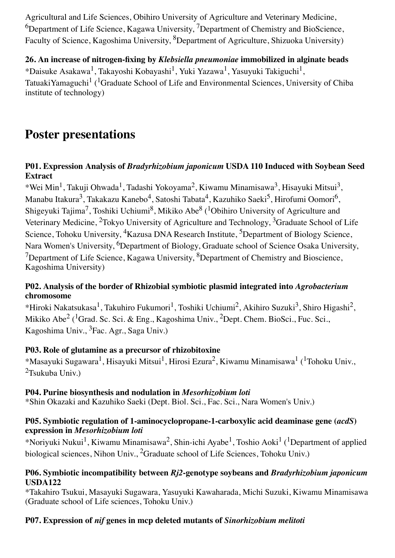Agricultural and Life Sciences, Obihiro University of Agriculture and Veterinary Medicine,  $6D$ epartment of Life Science, Kagawa University, <sup>7</sup>Department of Chemistry and BioScience, Faculty of Science, Kagoshima University, <sup>8</sup>Department of Agriculture, Shizuoka University)

**26. An increase of nitrogen-fixing by** *Klebsiella pneumoniae* **immobilized in alginate beads** \*Daisuke Asakawa<sup>1</sup>, Takayoshi Kobayashi<sup>1</sup>, Yuki Yazawa<sup>1</sup>, Yasuyuki Takiguchi<sup>1</sup>, TatuakiYamaguchi<sup>1</sup> (<sup>1</sup>Graduate School of Life and Environmental Sciences, University of Chiba institute of technology)

## **Poster presentations**

#### **P01. Expression Analysis of** *Bradyrhizobium japonicum* **USDA 110 Induced with Soybean Seed Extract**

\*Wei Min<sup>1</sup>, Takuji Ohwada<sup>1</sup>, Tadashi Yokoyama<sup>2</sup>, Kiwamu Minamisawa<sup>3</sup>, Hisayuki Mitsui<sup>3</sup>, Manabu Itakura<sup>3</sup>, Takakazu Kanebo<sup>4</sup>, Satoshi Tabata<sup>4</sup>, Kazuhiko Saeki<sup>5</sup>, Hirofumi Oomori<sup>6</sup>, Shigeyuki Tajima<sup>7</sup>, Toshiki Uchiumi<sup>8</sup>, Mikiko Abe<sup>8</sup> (<sup>1</sup>Obihiro University of Agriculture and Veterinary Medicine, <sup>2</sup>Tokyo University of Agriculture and Technology, <sup>3</sup>Graduate School of Life Science, Tohoku University, <sup>4</sup>Kazusa DNA Research Institute, <sup>5</sup>Department of Biology Science, Nara Women's University, <sup>6</sup>Department of Biology, Graduate school of Science Osaka University,  $7$ Department of Life Science, Kagawa University,  $8$ Department of Chemistry and Bioscience, Kagoshima University)

#### **P02. Analysis of the border of Rhizobial symbiotic plasmid integrated into** *Agrobacterium* **chromosome**

\*Hiroki Nakatsukasa<sup>1</sup>, Takuhiro Fukumori<sup>1</sup>, Toshiki Uchiumi<sup>2</sup>, Akihiro Suzuki<sup>3</sup>, Shiro Higashi<sup>2</sup>, Mikiko Abe<sup>2</sup> (<sup>1</sup>Grad. Sc. Sci. & Eng., Kagoshima Univ., <sup>2</sup>Dept. Chem. BioSci., Fuc. Sci., Kagoshima Univ., 3Fac. Agr., Saga Univ.)

#### **P03. Role of glutamine as a precursor of rhizobitoxine**

\*Masayuki Sugawara1, Hisayuki Mitsui1, Hirosi Ezura2, Kiwamu Minamisawa1 (1Tohoku Univ.,  $2$ Tsukuba Univ.)

#### **P04. Purine biosynthesis and nodulation in** *Mesorhizobium loti*

\*Shin Okazaki and Kazuhiko Saeki (Dept. Biol. Sci., Fac. Sci., Nara Women's Univ.)

#### **P05. Symbiotic regulation of 1-aminocyclopropane-1-carboxylic acid deaminase gene (***acdS***) expression in** *Mesorhizobium loti*

\*Norivuki Nukui<sup>1</sup>, Kiwamu Minamisawa<sup>2</sup>, Shin-ichi Ayabe<sup>1</sup>, Toshio Aoki<sup>1</sup> (<sup>1</sup>Department of applied biological sciences, Nihon Univ., <sup>2</sup>Graduate school of Life Sciences, Tohoku Univ.)

#### **P06. Symbiotic incompatibility between** *Rj2***-genotype soybeans and** *Bradyrhizobium japonicum* **USDA122**

\*Takahiro Tsukui, Masayuki Sugawara, Yasuyuki Kawaharada, Michi Suzuki, Kiwamu Minamisawa (Graduate school of Life sciences, Tohoku Univ.)

#### **P07. Expression of** *nif* **genes in mcp deleted mutants of** *Sinorhizobium melitoti*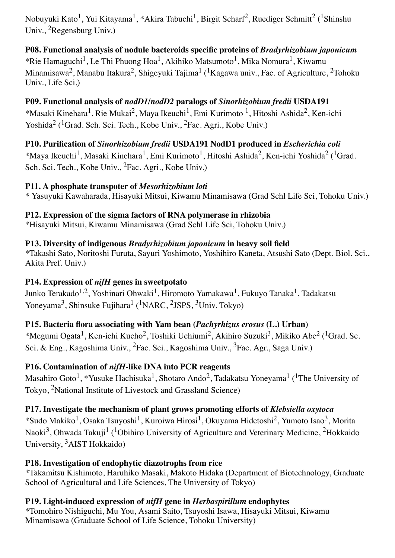Nobuyuki Kato<sup>1</sup>, Yui Kitayama<sup>1</sup>, \*Akira Tabuchi<sup>1</sup>, Birgit Scharf<sup>2</sup>, Ruediger Schmitt<sup>2</sup> (<sup>1</sup>Shinshu Univ., 2Regensburg Univ.)

**P08. Functional analysis of nodule bacteroids specific proteins of** *Bradyrhizobium japonicum* \*Rie Hamaguchi<sup>1</sup>, Le Thi Phuong Hoa<sup>1</sup>, Akihiko Matsumoto<sup>1</sup>, Mika Nomura<sup>1</sup>, Kiwamu Minamisawa<sup>2</sup>, Manabu Itakura<sup>2</sup>, Shigeyuki Tajima<sup>1</sup> (<sup>1</sup>Kagawa univ., Fac. of Agriculture, <sup>2</sup>Tohoku Univ., Life Sci.)

**P09. Functional analysis of** *nodD1***/***nodD2* **paralogs of** *Sinorhizobium fredii* **USDA191** \*Masaki Kinehara<sup>1</sup>, Rie Mukai<sup>2</sup>, Maya Ikeuchi<sup>1</sup>, Emi Kurimoto <sup>1</sup>, Hitoshi Ashida<sup>2</sup>, Ken-ichi Yoshida<sup>2</sup> (<sup>1</sup>Grad. Sch. Sci. Tech., Kobe Univ., <sup>2</sup>Fac. Agri., Kobe Univ.)

## **P10. Purification of** *Sinorhizobium fredii* **USDA191 NodD1 produced in** *Escherichia coli*

\*Maya Ikeuchi<sup>1</sup>, Masaki Kinehara<sup>1</sup>, Emi Kurimoto<sup>1</sup>, Hitoshi Ashida<sup>2</sup>, Ken-ichi Yoshida<sup>2</sup> (<sup>1</sup>Grad. Sch. Sci. Tech., Kobe Univ., 2Fac. Agri., Kobe Univ.)

### **P11. A phosphate transpoter of** *Mesorhizobium loti*

\* Yasuyuki Kawaharada, Hisayuki Mitsui, Kiwamu Minamisawa (Grad Schl Life Sci, Tohoku Univ.)

### **P12. Expression of the sigma factors of RNA polymerase in rhizobia**

\*Hisayuki Mitsui, Kiwamu Minamisawa (Grad Schl Life Sci, Tohoku Univ.)

### **P13. Diversity of indigenous** *Bradyrhizobium japonicum* **in heavy soil field**

\*Takashi Sato, Noritoshi Furuta, Sayuri Yoshimoto, Yoshihiro Kaneta, Atsushi Sato (Dept. Biol. Sci., Akita Pref. Univ.)

## **P14. Expression of** *nifH* **genes in sweetpotato**

Junko Terakado<sup>1,2</sup>, Yoshinari Ohwaki<sup>1</sup>, Hiromoto Yamakawa<sup>1</sup>, Fukuyo Tanaka<sup>1</sup>, Tadakatsu Yoneyama<sup>3</sup>, Shinsuke Fujihara<sup>1</sup> (<sup>1</sup>NARC, <sup>2</sup>JSPS, <sup>3</sup>Univ. Tokyo)

## **P15. Bacteria flora associating with Yam bean (***Pachyrhizus erosus* **(L.) Urban)**

\*Megumi Ogata<sup>1</sup>, Ken-ichi Kucho<sup>2</sup>, Toshiki Uchiumi<sup>2</sup>, Akihiro Suzuki<sup>3</sup>, Mikiko Abe<sup>2</sup> (<sup>1</sup>Grad. Sc. Sci. & Eng., Kagoshima Univ., 2Fac. Sci., Kagoshima Univ., 3Fac. Agr., Saga Univ.)

## **P16. Contamination of** *nifH***-like DNA into PCR reagents**

Masahiro Goto<sup>1</sup>, \*Yusuke Hachisuka<sup>1</sup>, Shotaro Ando<sup>2</sup>, Tadakatsu Yoneyama<sup>1</sup> (<sup>1</sup>The University of Tokyo, 2National Institute of Livestock and Grassland Science)

## **P17. Investigate the mechanism of plant grows promoting efforts of** *Klebsiella oxytoca*

\*Sudo Makiko1, Osaka Tsuyoshi1, Kuroiwa Hirosi1, Okuyama Hidetoshi2, Yumoto Isao3, Morita Naoki<sup>3</sup>, Ohwada Takuji<sup>1</sup> (<sup>1</sup>Obihiro University of Agriculture and Veterinary Medicine, <sup>2</sup>Hokkaido University, 3AIST Hokkaido)

## **P18. Investigation of endophytic diazotrophs from rice**

\*Takamitsu Kishimoto, Haruhiko Masaki, Makoto Hidaka (Department of Biotechnology, Graduate School of Agricultural and Life Sciences, The University of Tokyo)

## **P19. Light-induced expression of** *nifH* **gene in** *Herbaspirillum* **endophytes**

\*Tomohiro Nishiguchi, Mu You, Asami Saito, Tsuyoshi Isawa, Hisayuki Mitsui, Kiwamu Minamisawa (Graduate School of Life Science, Tohoku University)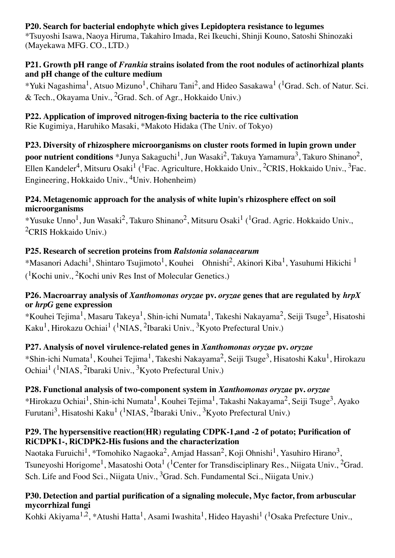#### **P20. Search for bacterial endophyte which gives Lepidoptera resistance to legumes**

\*Tsuyoshi Isawa, Naoya Hiruma, Takahiro Imada, Rei Ikeuchi, Shinji Kouno, Satoshi Shinozaki (Mayekawa MFG. CO., LTD.)

#### **P21. Growth pH range of** *Frankia* **strains isolated from the root nodules of actinorhizal plants and pH change of the culture medium**

\*Yuki Nagashima<sup>1</sup>, Atsuo Mizuno<sup>1</sup>, Chiharu Tani<sup>2</sup>, and Hideo Sasakawa<sup>1</sup> (<sup>1</sup>Grad. Sch. of Natur. Sci. & Tech., Okayama Univ., 2Grad. Sch. of Agr., Hokkaido Univ.)

## **P22. Application of improved nitrogen-fixing bacteria to the rice cultivation**

Rie Kugimiya, Haruhiko Masaki, \*Makoto Hidaka (The Univ. of Tokyo)

**P23. Diversity of rhizosphere microorganisms on cluster roots formed in lupin grown under poor nutrient conditions** \*Junya Sakaguchi<sup>1</sup>, Jun Wasaki<sup>2</sup>, Takuya Yamamura<sup>3</sup>, Takuro Shinano<sup>2</sup>, Ellen Kandeler<sup>4</sup>, Mitsuru Osaki<sup>1</sup> (<sup>1</sup>Fac. Agriculture, Hokkaido Univ., <sup>2</sup>CRIS, Hokkaido Univ., <sup>3</sup>Fac. Engineering, Hokkaido Univ., 4Univ. Hohenheim)

#### **P24. Metagenomic approach for the analysis of white lupin's rhizosphere effect on soil microorganisms**

\*Yusuke Unno<sup>1</sup>, Jun Wasaki<sup>2</sup>, Takuro Shinano<sup>2</sup>, Mitsuru Osaki<sup>1</sup> (<sup>1</sup>Grad. Agric. Hokkaido Univ., 2CRIS Hokkaido Univ.)

## **P25. Research of secretion proteins from** *Ralstonia solanacearum*

\*Masanori Adachi<sup>1</sup>, Shintaro Tsujimoto<sup>1</sup>, Kouhei Ohnishi<sup>2</sup>, Akinori Kiba<sup>1</sup>, Yasuhumi Hikichi<sup>1</sup>  $($ <sup>1</sup>Kochi univ., <sup>2</sup>Kochi univ Res Inst of Molecular Genetics.)

### **P26. Macroarray analysis of** *Xanthomonas oryzae* **pv.** *oryzae* **genes that are regulated by** *hrpX* **or** *hrpG* **gene expression**

\*Kouhei Tejima<sup>1</sup>, Masaru Takeya<sup>1</sup>, Shin-ichi Numata<sup>1</sup>, Takeshi Nakayama<sup>2</sup>, Seiji Tsuge<sup>3</sup>, Hisatoshi Kaku<sup>1</sup>, Hirokazu Ochiai<sup>1</sup> (<sup>1</sup>NIAS, <sup>2</sup>Ibaraki Univ., <sup>3</sup>Kyoto Prefectural Univ.)

## **P27. Analysis of novel virulence-related genes in** *Xanthomonas oryzae* **pv.** *oryzae*

\*Shin-ichi Numata<sup>1</sup>, Kouhei Tejima<sup>1</sup>, Takeshi Nakayama<sup>2</sup>, Seiji Tsuge<sup>3</sup>, Hisatoshi Kaku<sup>1</sup>, Hirokazu Ochiai1 (1NIAS, 2Ibaraki Univ., 3Kyoto Prefectural Univ.)

## **P28. Functional analysis of two-component system in** *Xanthomonas oryzae* **pv.** *oryzae*

\*Hirokazu Ochiai<sup>1</sup>, Shin-ichi Numata<sup>1</sup>, Kouhei Tejima<sup>1</sup>, Takashi Nakayama<sup>2</sup>, Seiji Tsuge<sup>3</sup>, Ayako Furutani<sup>3</sup>, Hisatoshi Kaku<sup>1</sup> (<sup>1</sup>NIAS, <sup>2</sup>Ibaraki Univ., <sup>3</sup>Kyoto Prefectural Univ.)

### **P29. The hypersensitive reaction(HR) regulating CDPK-1,and -2 of potato; Purification of RiCDPK1-, RiCDPK2-His fusions and the characterization**

Naotaka Furuichi<sup>1</sup>, \*Tomohiko Nagaoka<sup>2</sup>, Amjad Hassan<sup>2</sup>, Koji Ohnishi<sup>1</sup>, Yasuhiro Hirano<sup>3</sup>, Tsuneyoshi Horigome<sup>1</sup>, Masatoshi Oota<sup>1</sup> (<sup>1</sup>Center for Transdisciplinary Res., Niigata Univ., <sup>2</sup>Grad. Sch. Life and Food Sci., Niigata Univ., <sup>3</sup>Grad. Sch. Fundamental Sci., Niigata Univ.)

### **P30. Detection and partial purification of a signaling molecule, Myc factor, from arbuscular mycorrhizal fungi**

Kohki Akiyama<sup>1,2</sup>, \*Atushi Hatta<sup>1</sup>, Asami Iwashita<sup>1</sup>, Hideo Hayashi<sup>1</sup> (<sup>1</sup>Osaka Prefecture Univ.,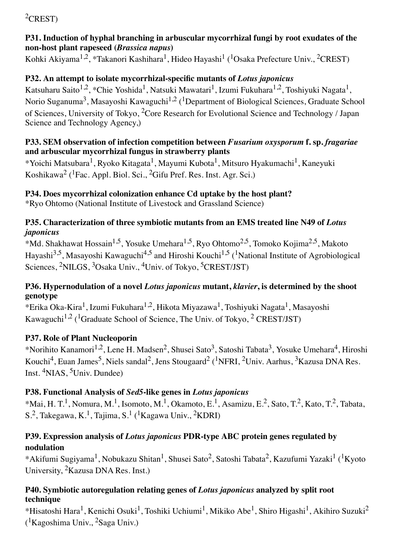## ${}^{2}$ CREST)

### **P31. Induction of hyphal branching in arbuscular mycorrhizal fungi by root exudates of the non-host plant rapeseed (***Brassica napus***)**

Kohki Akiyama<sup>1,2</sup>, \*Takanori Kashihara<sup>1</sup>, Hideo Hayashi<sup>1</sup> (<sup>1</sup>Osaka Prefecture Univ., <sup>2</sup>CREST)

## **P32. An attempt to isolate mycorrhizal-specific mutants of** *Lotus japonicus*

Katsuharu Saito<sup>1,2</sup>, \*Chie Yoshida<sup>1</sup>, Natsuki Mawatari<sup>1</sup>, Izumi Fukuhara<sup>1,2</sup>, Toshiyuki Nagata<sup>1</sup>, Norio Suganuma<sup>3</sup>, Masayoshi Kawaguchi<sup>1,2</sup> (<sup>1</sup>Department of Biological Sciences, Graduate School) of Sciences, University of Tokyo, 2Core Research for Evolutional Science and Technology / Japan Science and Technology Agency,)

### **P33. SEM observation of infection competition between** *Fusarium oxysporum* **f. sp.** *fragariae* **and arbuscular mycorrhizal fungus in strawberry plants**

\*Yoichi Matsubara1, Ryoko Kitagata1, Mayumi Kubota1, Mitsuro Hyakumachi1, Kaneyuki Koshikawa<sup>2</sup> (<sup>1</sup>Fac. Appl. Biol. Sci., <sup>2</sup>Gifu Pref. Res. Inst. Agr. Sci.)

## **P34. Does mycorrhizal colonization enhance Cd uptake by the host plant?**

\*Ryo Ohtomo (National Institute of Livestock and Grassland Science)

#### P35. Characterization of three symbiotic mutants from an EMS treated line N49 of *Lotus japonicus*

\*Md. Shakhawat Hossain<sup>1,5</sup>, Yosuke Umehara<sup>1,5</sup>, Ryo Ohtomo<sup>2,5</sup>, Tomoko Kojima<sup>2,5</sup>, Makoto Hayashi<sup>3,5</sup>, Masayoshi Kawaguchi<sup>4,5</sup> and Hiroshi Kouchi<sup>1,5</sup> (<sup>1</sup>National Institute of Agrobiological Sciences, <sup>2</sup>NILGS, <sup>3</sup>Osaka Univ., <sup>4</sup>Univ. of Tokyo, <sup>5</sup>CREST/JST)

### **P36. Hypernodulation of a novel** *Lotus japonicus* **mutant,** *klavier***, is determined by the shoot genotype**

\*Erika Oka-Kira1, Izumi Fukuhara1,2, Hikota Miyazawa1, Toshiyuki Nagata1, Masayoshi Kawaguchi<sup>1,2</sup> (<sup>1</sup>Graduate School of Science, The Univ. of Tokyo, <sup>2</sup> CREST/JST)

## **P37. Role of Plant Nucleoporin**

\*Norihito Kanamori<sup>1,2</sup>, Lene H. Madsen<sup>2</sup>, Shusei Sato<sup>3</sup>, Satoshi Tabata<sup>3</sup>, Yosuke Umehara<sup>4</sup>, Hiroshi Kouchi<sup>4</sup>, Euan James<sup>5</sup>, Niels sandal<sup>2</sup>, Jens Stougaard<sup>2</sup> (<sup>1</sup>NFRI, <sup>2</sup>Univ. Aarhus, <sup>3</sup>Kazusa DNA Res. Inst. 4NIAS, 5Univ. Dundee)

## **P38. Functional Analysis of** *Sed5***-like genes in** *Lotus japonicus*

\*Mai, H. T.<sup>1</sup>, Nomura, M.<sup>1</sup>, Isomoto, M.<sup>1</sup>, Okamoto, E.<sup>1</sup>, Asamizu, E.<sup>2</sup>, Sato, T.<sup>2</sup>, Kato, T.<sup>2</sup>, Tabata, S.<sup>2</sup>, Takegawa, K.<sup>1</sup>, Tajima, S.<sup>1</sup> (<sup>1</sup>Kagawa Univ., <sup>2</sup>KDRI)

## **P39. Expression analysis of** *Lotus japonicus* **PDR-type ABC protein genes regulated by nodulation**

\*Akifumi Sugiyama<sup>1</sup>, Nobukazu Shitan<sup>1</sup>, Shusei Sato<sup>2</sup>, Satoshi Tabata<sup>2</sup>, Kazufumi Yazaki<sup>1</sup> (<sup>1</sup>Kyoto University, 2Kazusa DNA Res. Inst.)

## **P40. Symbiotic autoregulation relating genes of** *Lotus japonicus* **analyzed by split root technique**

\*Hisatoshi Hara<sup>1</sup>, Kenichi Osuki<sup>1</sup>, Toshiki Uchiumi<sup>1</sup>, Mikiko Abe<sup>1</sup>, Shiro Higashi<sup>1</sup>, Akihiro Suzuki<sup>2</sup> ( 1Kagoshima Univ., 2Saga Univ.)